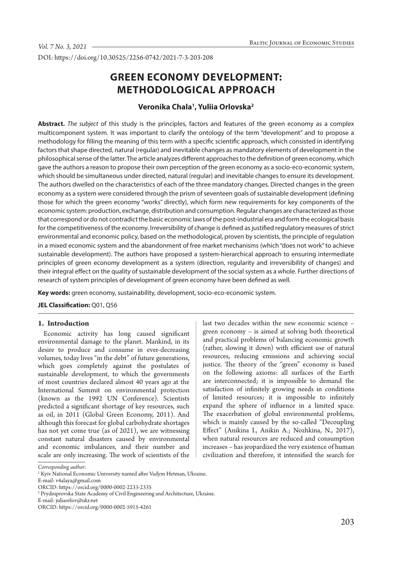DOI: https://doi.org/10.30525/2256-0742/2021-7-3-203-208

# **GREEN ECONOMY DEVELOPMENT: METHODOLOGICAL APPROACH**

# **Veronika Chala1 , Yuliia Orlovska2**

**Abstract.** *The subject* of this study is the principles, factors and features of the green economy as a complex multicomponent system. It was important to clarify the ontology of the term "development" and to propose a methodology for filling the meaning of this term with a specific scientific approach, which consisted in identifying factors that shape directed, natural (regular) and inevitable changes as mandatory elements of development in the philosophical sense of the latter. The article analyzes different approaches to the definition of green economy, which gave the authors a reason to propose their own perception of the green economy as a socio-eco-economic system, which should be simultaneous under directed, natural (regular) and inevitable changes to ensure its development. The authors dwelled on the characteristics of each of the three mandatory changes. Directed changes in the green economy as a system were considered through the prism of seventeen goals of sustainable development (defining those for which the green economy "works" directly), which form new requirements for key components of the economic system: production, exchange, distribution and consumption. Regular changes are characterized as those that correspond or do not contradict the basic economic laws of the post-industrial era and form the ecological basis for the competitiveness of the economy. Irreversibility of change is defined as justified regulatory measures of strict environmental and economic policy, based on the methodological, proven by scientists, the principle of regulation in a mixed economic system and the abandonment of free market mechanisms (which "does not work" to achieve sustainable development). The authors have proposed a system-hierarchical approach to ensuring intermediate principles of green economy development as a system (direction, regularity and irreversibility of changes) and their integral effect on the quality of sustainable development of the social system as a whole. Further directions of research of system principles of development of green economy have been defined as well.

**Key words:** green economy, sustainability, development, socio-eco-economic system.

**JEL Classification:** Q01, Q56

#### **1. Introduction**

Economic activity has long caused significant environmental damage to the planet. Mankind, in its desire to produce and consume in ever-decreasing volumes, today lives "in the debt" of future generations, which goes completely against the postulates of sustainable development, to which the governments of most countries declared almost 40 years ago at the International Summit on environmental protection (known as the 1992 UN Conference). Scientists predicted a significant shortage of key resources, such as oil, in 2011 (Global Green Economy, 2011). And although this forecast for global carbohydrate shortages has not yet come true (as of 2021), we are witnessing constant natural disasters caused by environmental and economic imbalances, and their number and scale are only increasing. The work of scientists of the last two decades within the new economic science – green economy – is aimed at solving both theoretical and practical problems of balancing economic growth (rather, slowing it down) with efficient use of natural resources, reducing emissions and achieving social justice. The theory of the "green" economy is based on the following axioms: all surfaces of the Earth are interconnected; it is impossible to demand the satisfaction of infinitely growing needs in conditions of limited resources; it is impossible to infinitely expand the sphere of influence in a limited space. The exacerbation of global environmental problems, which is mainly caused by the so-called "Decoupling Effect" (Anikina I., Anikin A.; Nozhkina, N., 2017), when natural resources are reduced and consumption increases – has jeopardized the very existence of human civilization and therefore, it intensified the search for

E-mail: juliaorlov@ukr.net

*Corresponding author:*

<sup>&</sup>lt;sup>1</sup> Kyiv National Economic University named after Vadym Hetman, Ukraine.

E-mail: v4alaya@gmail.com

ORCID: https://orcid.org/0000-0002-2233-2335

<sup>2</sup> Prydniprovska State Academy of Civil Engineering and Architecture, Ukraine.

ORCID: https://orcid.org/0000-0002-5915-4261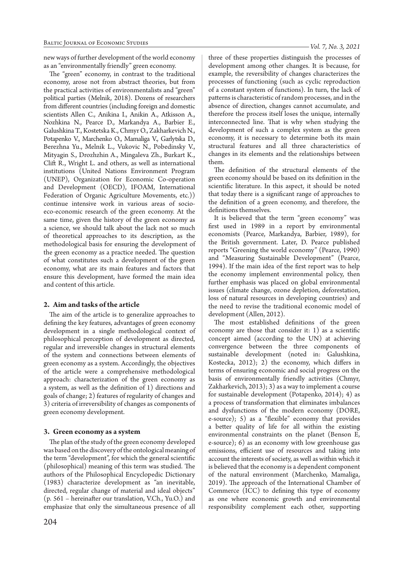new ways of further development of the world economy as an "environmentally friendly" green economy.

The "green" economy, in contrast to the traditional economy, arose not from abstract theories, but from the practical activities of environmentalists and "green" political parties (Melnik, 2018). Dozens of researchers from different countries (including foreign and domestic scientists Allen C., Anikina I., Anikin A., Atkisson A., Nozhkina N., Pearce D., Markandya A., Barbier E., Galushkina T., Kostetska K., Chmyr O., Zakharkevich N., Potapenko V., Marchenko O., Mamaliga V., Garlytska D., Berezhna Yu., Melnik L., Vukovic N., Pobedinsky V., Mityagin S., Drozhzhin A., Mingaleva Zh., Burkart K., Clift R., Wright L. and others, as well as international institutions (United Nations Environment Program (UNEP), Organization for Economic Co-operation and Development (OECD), IFOAM, International Federation of Organic Agriculture Movements, etc.)) continue intensive work in various areas of socioeco-economic research of the green economy. At the same time, given the history of the green economy as a science, we should talk about the lack not so much of theoretical approaches to its description, as the methodological basis for ensuring the development of the green economy as a practice needed. The question of what constitutes such a development of the green economy, what are its main features and factors that ensure this development, have formed the main idea and content of this article.

## **2. Aim and tasks of the article**

The aim of the article is to generalize approaches to defining the key features, advantages of green economy development in a single methodological context of philosophical perception of development as directed, regular and irreversible changes in structural elements of the system and connections between elements of green economy as a system. Accordingly, the objectives of the article were a comprehensive methodological approach: characterization of the green economy as a system, as well as the definition of 1) directions and goals of change; 2) features of regularity of changes and 3) criteria of irreversibility of changes as components of green economy development.

#### **3. Green economy as a system**

The plan of the study of the green economy developed was based on the discovery of the ontological meaning of the term "development", for which the general scientific (philosophical) meaning of this term was studied. The authors of the Philosophical Encyclopedic Dictionary (1983) characterize development as "an inevitable, directed, regular change of material and ideal objects" (p. 561 – hereinafter our translation, V.Ch., Yu.O.) and emphasize that only the simultaneous presence of all three of these properties distinguish the processes of development among other changes. It is because, for example, the reversibility of changes characterizes the processes of functioning (such as cyclic reproduction of a constant system of functions). In turn, the lack of patterns is characteristic of random processes, and in the absence of direction, changes cannot accumulate, and therefore the process itself loses the unique, internally interconnected line. That is why when studying the development of such a complex system as the green economy, it is necessary to determine both its main structural features and all three characteristics of changes in its elements and the relationships between them.

The definition of the structural elements of the green economy should be based on its definition in the scientific literature. In this aspect, it should be noted that today there is a significant range of approaches to the definition of a green economy, and therefore, the definitions themselves.

It is believed that the term "green economy" was first used in 1989 in a report by environmental economists (Pearce, Markandya, Barbier, 1989), for the British government. Later, D. Pearce published reports "Greening the world economy" (Pearce, 1990) and "Measuring Sustainable Development" (Pearce, 1994). If the main idea of the first report was to help the economy implement environmental policy, then further emphasis was placed on global environmental issues (climate change, ozone depletion, deforestation, loss of natural resources in developing countries) and the need to revise the traditional economic model of development (Allen, 2012).

The most established definitions of the green economy are those that consider it: 1) as a scientific concept aimed (according to the UN) at achieving convergence between the three components of sustainable development (noted in: Galushkina, Kostecka, 2012); 2) the economy, which differs in terms of ensuring economic and social progress on the basis of environmentally friendly activities (Chmyr, Zakharkevich, 2013); 3) as a way to implement a course for sustainable development (Potapenko, 2014); 4) as a process of transformation that eliminates imbalances and dysfunctions of the modern economy (DORE, e-source); 5) as a "flexible" economy that provides a better quality of life for all within the existing environmental constraints on the planet (Benson E, e-source); 6) as an economy with low greenhouse gas emissions, efficient use of resources and taking into account the interests of society, as well as within which it is believed that the economy is a dependent component of the natural environment (Marchenko, Mamaliga, 2019). The approach of the International Chamber of Commerce (ICC) to defining this type of economy as one where economic growth and environmental responsibility complement each other, supporting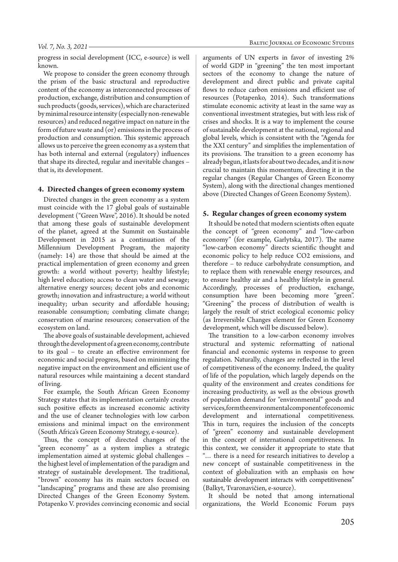progress in social development (ICC, e-source) is well known.

We propose to consider the green economy through the prism of the basic structural and reproductive content of the economy as interconnected processes of production, exchange, distribution and consumption of such products (goods, services), which are characterized by minimal resource intensity (especially non-renewable resources) and reduced negative impact on nature in the form of future waste and (or) emissions in the process of production and consumption. This systemic approach allows us to perceive the green economy as a system that has both internal and external (regulatory) influences that shape its directed, regular and inevitable changes – that is, its development.

## **4. Directed changes of green economy system**

Directed changes in the green economy as a system must coincide with the 17 global goals of sustainable development ("Green Wave", 2016). It should be noted that among these goals of sustainable development of the planet, agreed at the Summit on Sustainable Development in 2015 as a continuation of the Millennium Development Program, the majority (namely: 14) are those that should be aimed at the practical implementation of green economy and green growth: a world without poverty; healthy lifestyle; high level education; access to clean water and sewage; alternative energy sources; decent jobs and economic growth; innovation and infrastructure; a world without inequality; urban security and affordable housing; reasonable consumption; combating climate change; conservation of marine resources; conservation of the ecosystem on land.

The above goals of sustainable development, achieved through the development of a green economy, contribute to its goal – to create an effective environment for economic and social progress, based on minimizing the negative impact on the environment and efficient use of natural resources while maintaining a decent standard of living.

For example, the South African Green Economy Strategy states that its implementation certainly creates such positive effects as increased economic activity and the use of cleaner technologies with low carbon emissions and minimal impact on the environment (South Africa's Green Economy Strategy, e-source).

Thus, the concept of directed changes of the "green economy" as a system implies a strategic implementation aimed at systemic global challenges – the highest level of implementation of the paradigm and strategy of sustainable development. The traditional, "brown" economy has its main sectors focused on "landscaping" programs and these are also promising Directed Changes of the Green Economy System. Potapenko V. provides convincing economic and social

arguments of UN experts in favor of investing 2% of world GDP in "greening" the ten most important sectors of the economy to change the nature of development and direct public and private capital flows to reduce carbon emissions and efficient use of resources (Potapenko, 2014). Such transformations stimulate economic activity at least in the same way as conventional investment strategies, but with less risk of crises and shocks. It is a way to implement the course of sustainable development at the national, regional and global levels, which is consistent with the "Agenda for the XXI century" and simplifies the implementation of its provisions. The transition to a green economy has already begun, it lasts for about two decades, and it is now crucial to maintain this momentum, directing it in the regular changes (Regular Changes of Green Economy System), along with the directional changes mentioned above (Directed Changes of Green Economy System).

#### **5. Regular changes of green economy system**

It should be noted that modern scientists often equate the concept of "green economy" and "low-carbon economy" (for example, Garlytska, 2017). The name "low-carbon economy" directs scientific thought and economic policy to help reduce CO2 emissions, and therefore – to reduce carbohydrate consumption, and to replace them with renewable energy resources, and to ensure healthy air and a healthy lifestyle in general. Accordingly, processes of production, exchange, consumption have been becoming more "green". "Greening" the process of distribution of wealth is largely the result of strict ecological economic policy (as Irreversible Changes element for Green Economy development, which will be discussed below).

The transition to a low-carbon economy involves structural and systemic reformatting of national financial and economic systems in response to green regulation. Naturally, changes are reflected in the level of competitiveness of the economy. Indeed, the quality of life of the population, which largely depends on the quality of the environment and creates conditions for increasing productivity, as well as the obvious growth of population demand for "environmental" goods and services, form the environmental component of economic development and international competitiveness. This in turn, requires the inclusion of the concepts of "green" economy and sustainable development in the concept of international competitiveness. In this context, we consider it appropriate to state that "… there is a need for research initiatives to develop a new concept of sustainable competitiveness in the context of globalization with an emphasis on how sustainable development interacts with competitiveness" (Balkyt, Tvaronavičien, e-source).

It should be noted that among international organizations, the World Economic Forum pays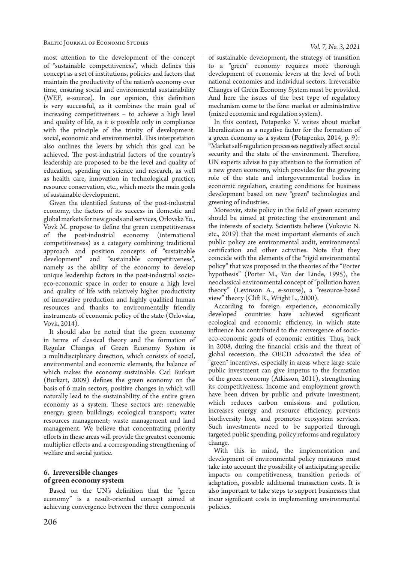most attention to the development of the concept of "sustainable competitiveness", which defines this concept as a set of institutions, policies and factors that maintain the productivity of the nation's economy over time, ensuring social and environmental sustainability (WEF, e-source). In our opinion, this definition is very successful, as it combines the main goal of increasing competitiveness – to achieve a high level and quality of life, as it is possible only in compliance with the principle of the trinity of development: social, economic and environmental. This interpretation also outlines the levers by which this goal can be achieved. The post-industrial factors of the country's leadership are proposed to be the level and quality of education, spending on science and research, as well as health care, innovation in technological practice, resource conservation, etc., which meets the main goals of sustainable development.

Given the identified features of the post-industrial economy, the factors of its success in domestic and global markets for new goods and services, Orlovska Yu., Vovk M. propose to define the green competitiveness of the post-industrial economy (international competitiveness) as a category combining traditional approach and position concepts of "sustainable development" and "sustainable competitiveness", namely as the ability of the economy to develop unique leadership factors in the post-industrial socioeco-economic space in order to ensure a high level and quality of life with relatively higher productivity of innovative production and highly qualified human resources and thanks to environmentally friendly instruments of economic policy of the state (Orlovska, Vovk, 2014).

It should also be noted that the green economy in terms of classical theory and the formation of Regular Changes of Green Economy System is a multidisciplinary direction, which consists of social, environmental and economic elements, the balance of which makes the economy sustainable. Carl Burkart (Burkart, 2009) defines the green economy on the basis of 6 main sectors, positive changes in which will naturally lead to the sustainability of the entire green economy as a system. These sectors are: renewable energy; green buildings; ecological transport; water resources management; waste management and land management. We believe that concentrating priority efforts in these areas will provide the greatest economic multiplier effects and a corresponding strengthening of welfare and social justice.

# **6. Irreversible changes of green economy system**

Based on the UN's definition that the "green economy" is a result-oriented concept aimed at achieving convergence between the three components of sustainable development, the strategy of transition to a "green" economy requires more thorough development of economic levers at the level of both national economies and individual sectors. Irreversible Changes of Green Economy System must be provided. And here the issues of the best type of regulatory mechanism come to the fore: market or administrative (mixed economic and regulation system).

In this context, Potapenko V. writes about market liberalization as a negative factor for the formation of a green economy as a system (Potapenko, 2014, p. 9): "Market self-regulation processes negatively affect social security and the state of the environment. Therefore, UN experts advise to pay attention to the formation of a new green economy, which provides for the growing role of the state and intergovernmental bodies in economic regulation, creating conditions for business development based on new "green" technologies and greening of industries.

Moreover, state policy in the field of green economy should be aimed at protecting the environment and the interests of society. Scientists believe (Vukovic N. etc., 2019) that the most important elements of such public policy are environmental audit, environmental certification and other activities. Note that they coincide with the elements of the "rigid environmental policy" that was proposed in the theories of the "Porter hypothesis" (Porter M., Van der Linde, 1995), the neoclassical environmental concept of "pollution haven theory" (Levinson A., e-sourse), a "resource-based view" theory (Clift R., Wright L., 2000).

According to foreign experience, economically developed countries have achieved significant ecological and economic efficiency, in which state influence has contributed to the convergence of socioeco-economic goals of economic entities. Thus, back in 2008, during the financial crisis and the threat of global recession, the OECD advocated the idea of 'green" incentives, especially in areas where large-scale public investment can give impetus to the formation of the green economy (Atkisson, 2011), strengthening its competitiveness. Income and employment growth have been driven by public and private investment, which reduces carbon emissions and pollution, increases energy and resource efficiency, prevents biodiversity loss, and promotes ecosystem services. Such investments need to be supported through targeted public spending, policy reforms and regulatory change.

With this in mind, the implementation and development of environmental policy measures must take into account the possibility of anticipating specific impacts on competitiveness, transition periods of adaptation, possible additional transaction costs. It is also important to take steps to support businesses that incur significant costs in implementing environmental policies.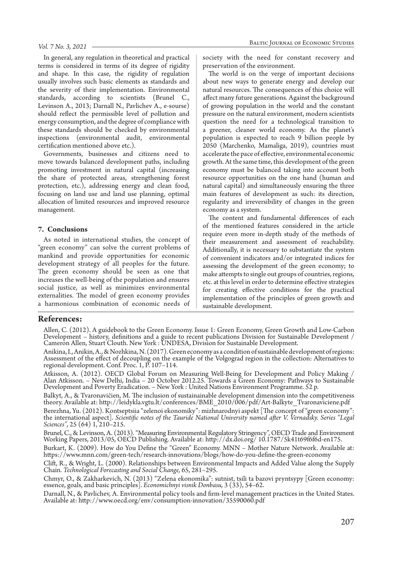In general, any regulation in theoretical and practical terms is considered in terms of its degree of rigidity and shape. In this case, the rigidity of regulation usually involves such basic elements as standards and the severity of their implementation. Environmental standards, according to scientists (Brunel C., Levinson A., 2013; Darnall N., Pavlichev A., e-sourse) should reflect the permissible level of pollution and energy consumption, and the degree of compliance with these standards should be checked by environmental inspections (environmental audit, environmental certification mentioned above etc.).

Governments, businesses and citizens need to move towards balanced development paths, including promoting investment in natural capital (increasing the share of protected areas, strengthening forest protection, etc.), addressing energy and clean food, focusing on land use and land use planning, optimal allocation of limited resources and improved resource management.

## **7. Conclusions**

As noted in international studies, the concept of "green economy" can solve the current problems of mankind and provide opportunities for economic development strategy of all peoples for the future. The green economy should be seen as one that increases the well-being of the population and ensures social justice, as well as minimizes environmental externalities. The model of green economy provides a harmonious combination of economic needs of

society with the need for constant recovery and preservation of the environment.

The world is on the verge of important decisions about new ways to generate energy and develop our natural resources. The consequences of this choice will affect many future generations. Against the background of growing population in the world and the constant pressure on the natural environment, modern scientists question the need for a technological transition to a greener, cleaner world economy. As the planet's population is expected to reach 9 billion people by 2050 (Marchenko, Mamaliga, 2019), countries must accelerate the pace of effective, environmental economic growth. At the same time, this development of the green economy must be balanced taking into account both resource opportunities on the one hand (human and natural capital) and simultaneously ensuring the three main features of development as such: its direction, regularity and irreversibility of changes in the green economy as a system.

The content and fundamental differences of each of the mentioned features considered in the article require even more in-depth study of the methods of their measurement and assessment of reachability. Additionally, it is necessary to substantiate the system of convenient indicators and/or integrated indices for assessing the development of the green economy; to make attempts to single out groups of countries, regions, etc. at this level in order to determine effective strategies for creating effective conditions for the practical implementation of the principles of green growth and sustainable development.

## **References:**

Allen, C. (2012). A guidebook to the Green Economy. Issue 1: Green Economy, Green Growth and Low-Carbon Development – history, definitions and a guide to recent publications Division for Sustainable Development / Cameron Allen, Stuart Clouth. New York : UNDESA, Division for Sustainable Development.

Anikina, I., Anikin, A., & Nozhkina, N. (2017). Green economy as a condition of sustainable development of regions: Assessment of the effect of decoupling on the example of the Volgograd region in the collection: Alternatives to regional development. Conf. Proc. 1, Р. 107–114.

Atkisson, А. (2012). OECD Global Forum on Measuring Well-Being for Development and Policy Making / Alan Atkisson. – New Delhi, India – 20 October 2012.25. Towards a Green Economy: Pathways to Sustainable Development and Poverty Eradication. – New York : United Nations Environment Programme. 52 р.

Balkyt, A., & Tvaronavičien, M. The inclusion of sustainainable development dimension into the competitiveness theory. Available at: http://leidykla.vgtu.lt/conferences/BME\_2010/006/pdf/Art-Balkyte\_Tvaronaviciene.pdf

Berezhna, Yu. (2012). Kontseptsiia "zelenoi ekonomiky": mizhnarodnyi aspekt [The concept of "green economy": the international aspect]. *Scientific notes of the Tauride National University named after V. Vernadsky. Series "Legal Sciences",* 25 (64) 1, 210–215.

Brunel, C., & Levinson, A. (2013). "Measuring Environmental Regulatory Stringency", OECD Trade and Environment Working Papers, 2013/05, OECD Publishing. Available at: http://dx.doi.org/ 10.1787/5k41t69f6f6d-en175.

Burkart, K. (2009). How do You Define the "Green" Economy. MNN – Mother Nature Network. Available at: https://www.mnn.com/green-tech/research-innovations/blogs/how-do-you-define-the-green-economy

Clift, R., & Wright, L. (2000). Relationships between Environmental Impacts and Added Value along the Supply Chain. *Technological Forecasting and Social Change,* 65, 281–295.

Chmyr, O., & Zakharkevich, N. (2013) "Zelena ekonomika": sutnist, tsili ta bazovi pryntsypy [Green economy: essence, goals, and basic principles]. *Economichnyi visnik Donbasu,* 3 (33), 54–62.

Darnall, N., & Pavlichev, A. Environmental policy tools and firm-level management practices in the United States. Available at: http://www.oecd.org/env/consumption-innovation/35590060.pdf